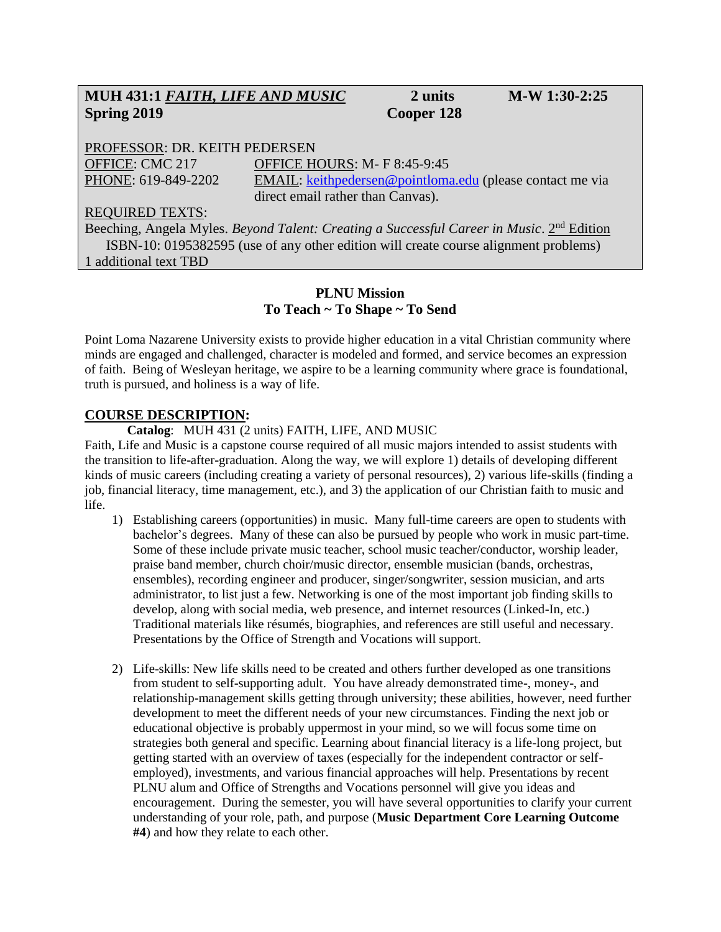# **MUH 431:1** *FAITH, LIFE AND MUSIC* **2 units M-W 1:30-2:25 Spring 2019 Cooper 128**

PROFESSOR: DR. KEITH PEDERSEN OFFICE: CMC 217 OFFICE HOURS: M- F 8:45-9:45 PHONE: 619-849-2202 EMAIL: [keithpedersen@pointloma.edu](mailto:keithpedersen@pointloma.edu) (please contact me via direct email rather than Canvas).

#### REQUIRED TEXTS:

Beeching, Angela Myles. *Beyond Talent: Creating a Successful Career in Music*. 2<sup>nd</sup> Edition ISBN-10: 0195382595 (use of any other edition will create course alignment problems) 1 additional text TBD

#### **PLNU Mission To Teach ~ To Shape ~ To Send**

Point Loma Nazarene University exists to provide higher education in a vital Christian community where minds are engaged and challenged, character is modeled and formed, and service becomes an expression of faith. Being of Wesleyan heritage, we aspire to be a learning community where grace is foundational, truth is pursued, and holiness is a way of life.

#### **COURSE DESCRIPTION:**

**Catalog**: MUH 431 (2 units) FAITH, LIFE, AND MUSIC

Faith, Life and Music is a capstone course required of all music majors intended to assist students with the transition to life-after-graduation. Along the way, we will explore 1) details of developing different kinds of music careers (including creating a variety of personal resources), 2) various life-skills (finding a job, financial literacy, time management, etc.), and 3) the application of our Christian faith to music and life.

- 1) Establishing careers (opportunities) in music. Many full-time careers are open to students with bachelor's degrees. Many of these can also be pursued by people who work in music part-time. Some of these include private music teacher, school music teacher/conductor, worship leader, praise band member, church choir/music director, ensemble musician (bands, orchestras, ensembles), recording engineer and producer, singer/songwriter, session musician, and arts administrator, to list just a few. Networking is one of the most important job finding skills to develop, along with social media, web presence, and internet resources (Linked-In, etc.) Traditional materials like résumés, biographies, and references are still useful and necessary. Presentations by the Office of Strength and Vocations will support.
- 2) Life-skills: New life skills need to be created and others further developed as one transitions from student to self-supporting adult. You have already demonstrated time-, money-, and relationship-management skills getting through university; these abilities, however, need further development to meet the different needs of your new circumstances. Finding the next job or educational objective is probably uppermost in your mind, so we will focus some time on strategies both general and specific. Learning about financial literacy is a life-long project, but getting started with an overview of taxes (especially for the independent contractor or selfemployed), investments, and various financial approaches will help. Presentations by recent PLNU alum and Office of Strengths and Vocations personnel will give you ideas and encouragement. During the semester, you will have several opportunities to clarify your current understanding of your role, path, and purpose (**Music Department Core Learning Outcome #4**) and how they relate to each other.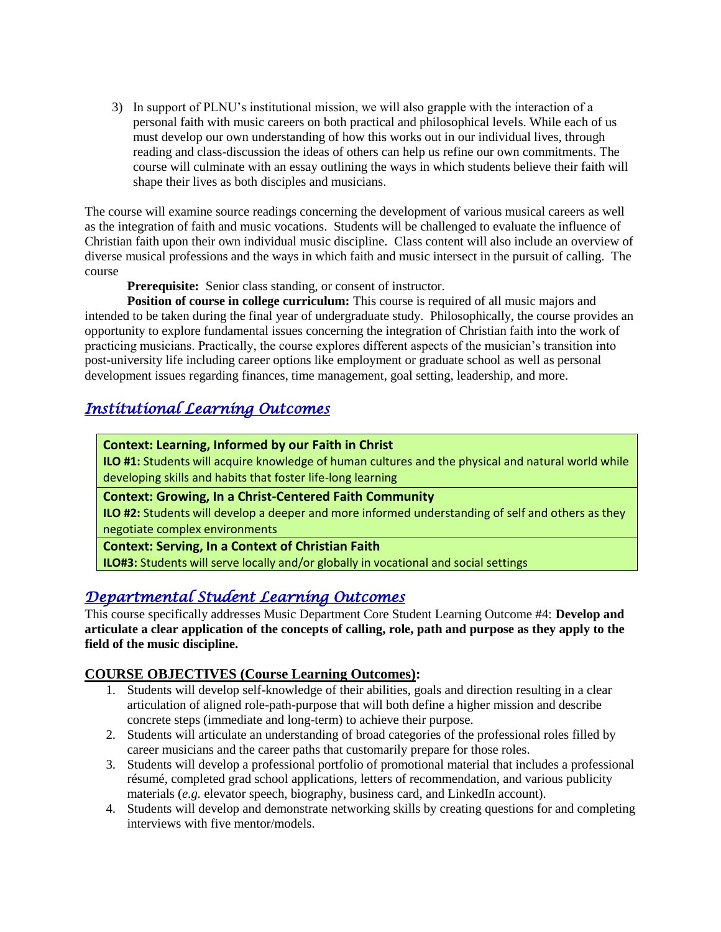3) In support of PLNU's institutional mission, we will also grapple with the interaction of a personal faith with music careers on both practical and philosophical levels. While each of us must develop our own understanding of how this works out in our individual lives, through reading and class-discussion the ideas of others can help us refine our own commitments. The course will culminate with an essay outlining the ways in which students believe their faith will shape their lives as both disciples and musicians.

The course will examine source readings concerning the development of various musical careers as well as the integration of faith and music vocations. Students will be challenged to evaluate the influence of Christian faith upon their own individual music discipline. Class content will also include an overview of diverse musical professions and the ways in which faith and music intersect in the pursuit of calling. The course

**Prerequisite:** Senior class standing, or consent of instructor.

**Position of course in college curriculum:** This course is required of all music majors and intended to be taken during the final year of undergraduate study. Philosophically, the course provides an opportunity to explore fundamental issues concerning the integration of Christian faith into the work of practicing musicians. Practically, the course explores different aspects of the musician's transition into post-university life including career options like employment or graduate school as well as personal development issues regarding finances, time management, goal setting, leadership, and more.

# *Institutional Learning Outcomes*

#### **Context: Learning, Informed by our Faith in Christ**

**ILO #1:** Students will acquire knowledge of human cultures and the physical and natural world while developing skills and habits that foster life-long learning

#### **Context: Growing, In a Christ-Centered Faith Community**

**ILO #2:** Students will develop a deeper and more informed understanding of self and others as they negotiate complex environments

#### **Context: Serving, In a Context of Christian Faith**

**ILO#3:** Students will serve locally and/or globally in vocational and social settings

# *Departmental Student Learning Outcomes*

This course specifically addresses Music Department Core Student Learning Outcome #4: **Develop and articulate a clear application of the concepts of calling, role, path and purpose as they apply to the field of the music discipline.**

## **COURSE OBJECTIVES (Course Learning Outcomes):**

- 1. Students will develop self-knowledge of their abilities, goals and direction resulting in a clear articulation of aligned role-path-purpose that will both define a higher mission and describe concrete steps (immediate and long-term) to achieve their purpose.
- 2. Students will articulate an understanding of broad categories of the professional roles filled by career musicians and the career paths that customarily prepare for those roles.
- 3. Students will develop a professional portfolio of promotional material that includes a professional résumé, completed grad school applications, letters of recommendation, and various publicity materials (*e.g.* elevator speech, biography, business card, and LinkedIn account).
- 4. Students will develop and demonstrate networking skills by creating questions for and completing interviews with five mentor/models.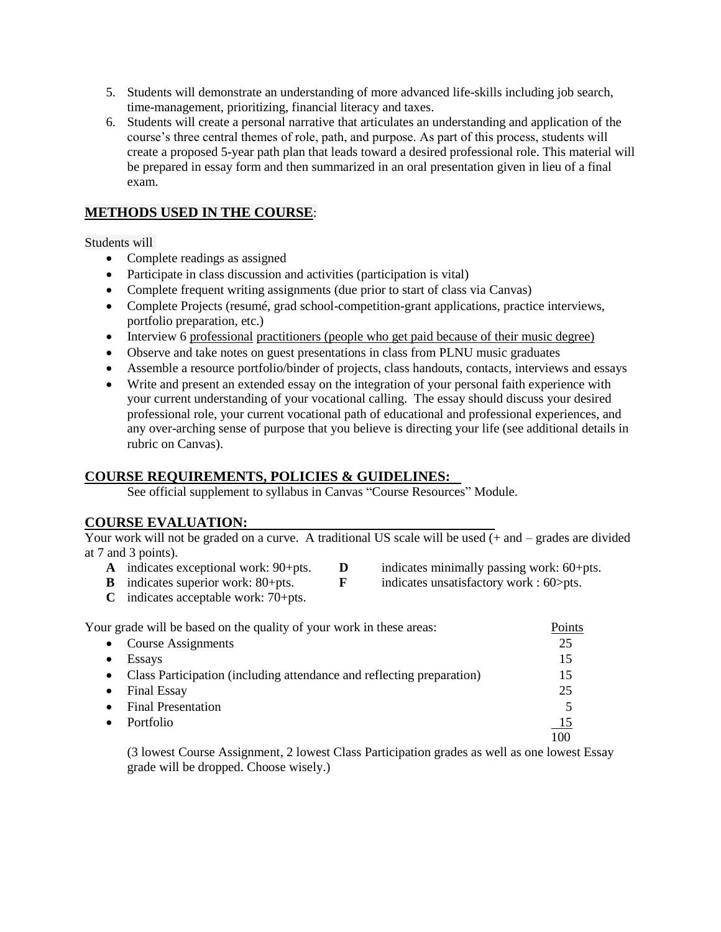- 5. Students will demonstrate an understanding of more advanced life-skills including job search, time-management, prioritizing, financial literacy and taxes.
- 6. Students will create a personal narrative that articulates an understanding and application of the course's three central themes of role, path, and purpose. As part of this process, students will create a proposed 5-year path plan that leads toward a desired professional role. This material will be prepared in essay form and then summarized in an oral presentation given in lieu of a final exam.

## **METHODS USED IN THE COURSE**:

#### Students will

- Complete readings as assigned
- Participate in class discussion and activities (participation is vital)
- Complete frequent writing assignments (due prior to start of class via Canvas)
- Complete Projects (resumé, grad school-competition-grant applications, practice interviews, portfolio preparation, etc.)
- Interview 6 professional practitioners (people who get paid because of their music degree)
- Observe and take notes on guest presentations in class from PLNU music graduates
- Assemble a resource portfolio/binder of projects, class handouts, contacts, interviews and essays
- Write and present an extended essay on the integration of your personal faith experience with your current understanding of your vocational calling. The essay should discuss your desired professional role, your current vocational path of educational and professional experiences, and any over-arching sense of purpose that you believe is directing your life (see additional details in rubric on Canvas).

## **COURSE REQUIREMENTS, POLICIES & GUIDELINES:**

See official supplement to syllabus in Canvas "Course Resources" Module.

## **COURSE EVALUATION:**

Your work will not be graded on a curve. A traditional US scale will be used  $(+)$  and  $-$  grades are divided at 7 and 3 points).

- **A** indicates exceptional work: 90+pts. **D** indicates minimally passing work: 60+pts.<br> **B** indicates unsatisfactory work: 60>pts.
- 
- 
- 
- **C** indicates acceptable work: 70+pts.
- **indicates unsatisfactory work: 60>pts.**

| Your grade will be based on the quality of your work in these areas:               | Points |
|------------------------------------------------------------------------------------|--------|
| Course Assignments<br>$\bullet$                                                    | 25     |
| <b>Essays</b>                                                                      | 15     |
| Class Participation (including attendance and reflecting preparation)<br>$\bullet$ | 15     |
| <b>Final Essay</b>                                                                 | 25     |
| <b>Final Presentation</b>                                                          |        |
| Portfolio                                                                          | 15     |
|                                                                                    | 100    |

(3 lowest Course Assignment, 2 lowest Class Participation grades as well as one lowest Essay grade will be dropped. Choose wisely.)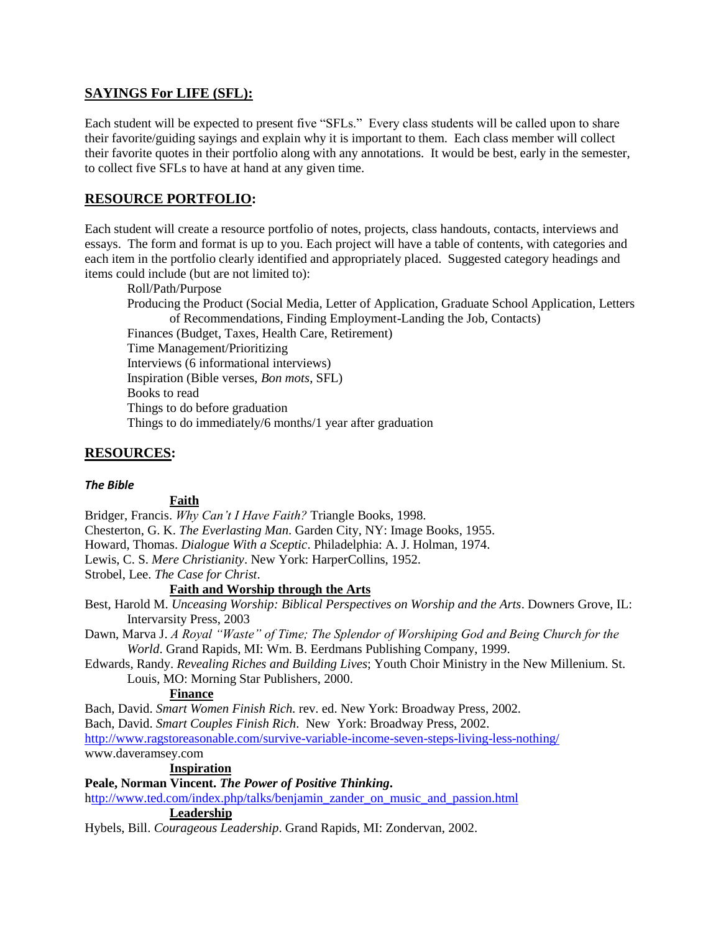### **SAYINGS For LIFE (SFL):**

Each student will be expected to present five "SFLs." Every class students will be called upon to share their favorite/guiding sayings and explain why it is important to them. Each class member will collect their favorite quotes in their portfolio along with any annotations. It would be best, early in the semester, to collect five SFLs to have at hand at any given time.

### **RESOURCE PORTFOLIO:**

Each student will create a resource portfolio of notes, projects, class handouts, contacts, interviews and essays. The form and format is up to you. Each project will have a table of contents, with categories and each item in the portfolio clearly identified and appropriately placed. Suggested category headings and items could include (but are not limited to):

Roll/Path/Purpose Producing the Product (Social Media, Letter of Application, Graduate School Application, Letters of Recommendations, Finding Employment-Landing the Job, Contacts) Finances (Budget, Taxes, Health Care, Retirement) Time Management/Prioritizing Interviews (6 informational interviews) Inspiration (Bible verses, *Bon mots*, SFL) Books to read Things to do before graduation Things to do immediately/6 months/1 year after graduation

### **RESOURCES:**

#### *The Bible*

#### **Faith**

Bridger, Francis. *Why Can't I Have Faith?* Triangle Books, 1998. Chesterton, G. K. *The Everlasting Man*. Garden City, NY: Image Books, 1955. Howard, Thomas. *Dialogue With a Sceptic*. Philadelphia: A. J. Holman, 1974. Lewis, C. S. *Mere Christianity*. New York: HarperCollins, 1952. Strobel, Lee. *The Case for Christ*.

#### **Faith and Worship through the Arts**

Best, Harold M. *Unceasing Worship: Biblical Perspectives on Worship and the Arts*. Downers Grove, IL: Intervarsity Press, 2003

Dawn, Marva J. *A Royal "Waste" of Time; The Splendor of Worshiping God and Being Church for the World*. Grand Rapids, MI: Wm. B. Eerdmans Publishing Company, 1999.

Edwards, Randy. *Revealing Riches and Building Lives*; Youth Choir Ministry in the New Millenium. St. Louis, MO: Morning Star Publishers, 2000.

#### **Finance**

Bach, David. *Smart Women Finish Rich.* rev. ed. New York: Broadway Press, 2002.

Bach, David. *Smart Couples Finish Rich*. New York: Broadway Press, 2002.

<http://www.ragstoreasonable.com/survive-variable-income-seven-steps-living-less-nothing/>

www.daveramsey.com

#### **Inspiration**

**Peale, Norman Vincent.** *The Power of Positive Thinking***.**

[http://www.ted.com/index.php/talks/benjamin\\_zander\\_on\\_music\\_and\\_passion.html](http://www.ted.com/index.php/talks/benjamin_zander_on_music_and_passion.html) **Leadership**

Hybels, Bill. *Courageous Leadership*. Grand Rapids, MI: Zondervan, 2002.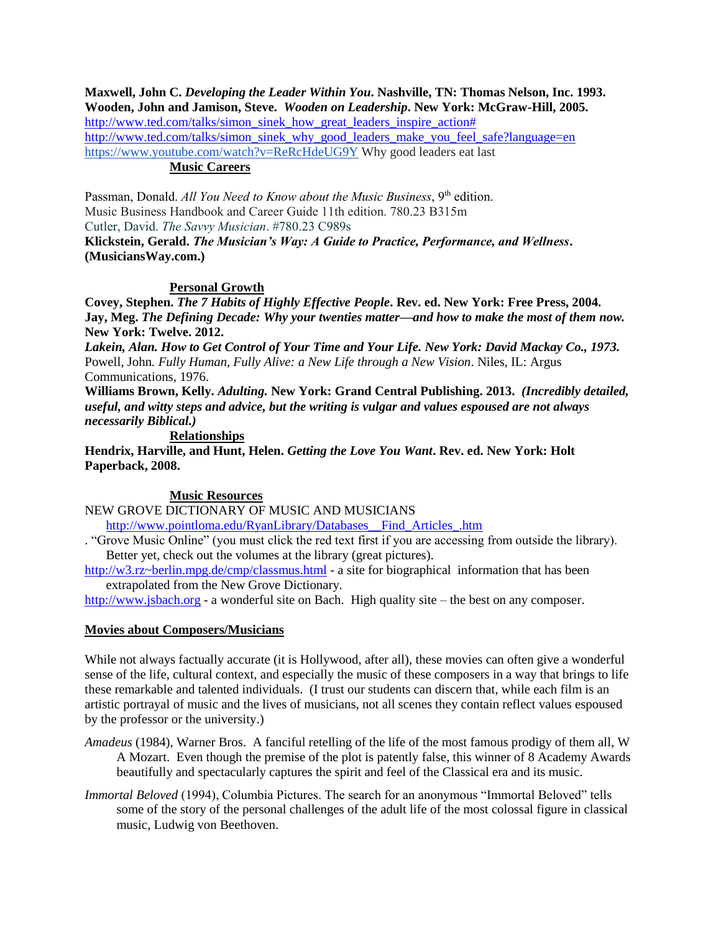**Maxwell, John C.** *Developing the Leader Within You***. Nashville, TN: Thomas Nelson, Inc. 1993. Wooden, John and Jamison, Steve.** *Wooden on Leadership***. New York: McGraw-Hill, 2005.** [http://www.ted.com/talks/simon\\_sinek\\_how\\_great\\_leaders\\_inspire\\_action#](http://www.ted.com/talks/simon_sinek_how_great_leaders_inspire_action) [http://www.ted.com/talks/simon\\_sinek\\_why\\_good\\_leaders\\_make\\_you\\_feel\\_safe?language=en](http://www.ted.com/talks/simon_sinek_why_good_leaders_make_you_feel_safe?language=en) <https://www.youtube.com/watch?v=ReRcHdeUG9Y> Why good leaders eat last

## **Music Careers**

Passman, Donald. *All You Need to Know about the Music Business*, 9<sup>th</sup> edition. Music Business Handbook and Career Guide 11th edition. 780.23 B315m Cutler, David. *The Savvy Musician*. #780.23 C989s

**Klickstein, Gerald.** *The Musician's Way: A Guide to Practice, Performance, and Wellness***. (MusiciansWay.com.)**

#### **Personal Growth**

**Covey, Stephen.** *The 7 Habits of Highly Effective People***. Rev. ed. New York: Free Press, 2004. Jay, Meg.** *The Defining Decade: Why your twenties matter—and how to make the most of them now.*  **New York: Twelve. 2012.**

*Lakein, Alan. How to Get Control of Your Time and Your Life. New York: David Mackay Co., 1973.* Powell, John*. Fully Human, Fully Alive: a New Life through a New Vision*. Niles, IL: Argus Communications, 1976.

**Williams Brown, Kelly.** *Adulting.* **New York: Grand Central Publishing. 2013.** *(Incredibly detailed, useful, and witty steps and advice, but the writing is vulgar and values espoused are not always necessarily Biblical.)*

#### **Relationships**

**Hendrix, Harville, and Hunt, Helen.** *Getting the Love You Want***. Rev. ed. New York: Holt Paperback, 2008.**

#### **Music Resources**

NEW GROVE DICTIONARY OF MUSIC AND MUSICIANS

[http://www.pointloma.edu/RyanLibrary/Databases\\_\\_Find\\_Articles\\_.htm](http://www.pointloma.edu/RyanLibrary/Databases__Find_Articles_.htm)

. "Grove Music Online" (you must click the red text first if you are accessing from outside the library). Better yet, check out the volumes at the library (great pictures).

<http://w3.rz~berlin.mpg.de/cmp/classmus.html> - a site for biographical information that has been extrapolated from the New Grove Dictionary*.*

[http://www.jsbach.org](http://www.jsbach.org/) - a wonderful site on Bach. High quality site – the best on any composer.

#### **Movies about Composers/Musicians**

While not always factually accurate (it is Hollywood, after all), these movies can often give a wonderful sense of the life, cultural context, and especially the music of these composers in a way that brings to life these remarkable and talented individuals. (I trust our students can discern that, while each film is an artistic portrayal of music and the lives of musicians, not all scenes they contain reflect values espoused by the professor or the university.)

*Amadeus* (1984), Warner Bros. A fanciful retelling of the life of the most famous prodigy of them all, W A Mozart. Even though the premise of the plot is patently false, this winner of 8 Academy Awards beautifully and spectacularly captures the spirit and feel of the Classical era and its music.

*Immortal Beloved* (1994), Columbia Pictures. The search for an anonymous "Immortal Beloved" tells some of the story of the personal challenges of the adult life of the most colossal figure in classical music, Ludwig von Beethoven.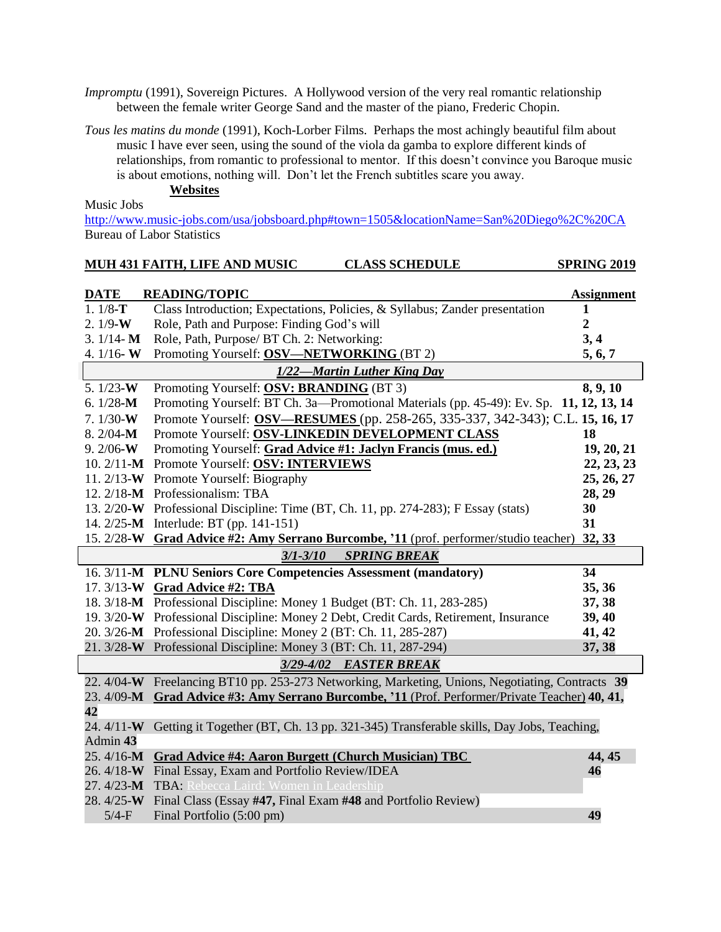*Impromptu* (1991), Sovereign Pictures. A Hollywood version of the very real romantic relationship between the female writer George Sand and the master of the piano, Frederic Chopin.

*Tous les matins du monde* (1991), Koch-Lorber Films. Perhaps the most achingly beautiful film about music I have ever seen, using the sound of the viola da gamba to explore different kinds of relationships, from romantic to professional to mentor. If this doesn't convince you Baroque music is about emotions, nothing will. Don't let the French subtitles scare you away.

**Websites**

Music Jobs

<http://www.music-jobs.com/usa/jobsboard.php#town=1505&locationName=San%20Diego%2C%20CA> Bureau of Labor Statistics

|                                     | MUH 431 FAITH, LIFE AND MUSIC<br><b>CLASS SCHEDULE</b>                                           | <b>SPRING 2019</b> |
|-------------------------------------|--------------------------------------------------------------------------------------------------|--------------------|
| <b>DATE</b>                         | <b>READING/TOPIC</b>                                                                             | <b>Assignment</b>  |
| $1.1/8-T$                           | Class Introduction; Expectations, Policies, & Syllabus; Zander presentation                      | 1                  |
| $2.1/9-W$                           | Role, Path and Purpose: Finding God's will                                                       | $\boldsymbol{2}$   |
| $3.1/14 - M$                        | Role, Path, Purpose/ BT Ch. 2: Networking:                                                       | 3, 4               |
| 4. $1/16$ W                         | Promoting Yourself: OSV—NETWORKING (BT 2)                                                        | 5, 6, 7            |
| 1/22-Martin Luther King Day         |                                                                                                  |                    |
| 5. $1/23-W$                         | Promoting Yourself: OSV: BRANDING (BT 3)                                                         | 8, 9, 10           |
| 6. $1/28$ -M                        | Promoting Yourself: BT Ch. 3a-Promotional Materials (pp. 45-49): Ev. Sp. 11, 12, 13, 14          |                    |
| $7.1/30-W$                          | Promote Yourself: OSV—RESUMES (pp. 258-265, 335-337, 342-343); C.L. 15, 16, 17                   |                    |
| $8.2/04-M$                          | Promote Yourself: OSV-LINKEDIN DEVELOPMENT CLASS                                                 | 18                 |
| 9. $2/06-W$                         | Promoting Yourself: Grad Advice #1: Jaclyn Francis (mus. ed.)                                    | 19, 20, 21         |
|                                     | 10. 2/11-M Promote Yourself: OSV: INTERVIEWS                                                     | 22, 23, 23         |
|                                     | 11. 2/13-W Promote Yourself: Biography                                                           | 25, 26, 27         |
|                                     | 12. 2/18-M Professionalism: TBA                                                                  | 28, 29             |
|                                     | 13. 2/20-W Professional Discipline: Time (BT, Ch. 11, pp. 274-283); F Essay (stats)              | 30                 |
|                                     | 14. 2/25-M Interlude: BT (pp. 141-151)                                                           | 31                 |
|                                     | 15. 2/28-W Grad Advice #2: Amy Serrano Burcombe, '11 (prof. performer/studio teacher)            | 32, 33             |
| <b>SPRING BREAK</b><br>$3/1 - 3/10$ |                                                                                                  |                    |
|                                     | 16. 3/11-M PLNU Seniors Core Competencies Assessment (mandatory)                                 | 34                 |
|                                     | 17. 3/13-W Grad Advice #2: TBA                                                                   | 35, 36             |
|                                     | 18. 3/18-M Professional Discipline: Money 1 Budget (BT: Ch. 11, 283-285)                         | 37, 38             |
|                                     | 19. 3/20-W Professional Discipline: Money 2 Debt, Credit Cards, Retirement, Insurance            | 39, 40             |
|                                     | 20. 3/26-M Professional Discipline: Money 2 (BT: Ch. 11, 285-287)                                | 41, 42             |
|                                     | 21. 3/28-W Professional Discipline: Money 3 (BT: Ch. 11, 287-294)                                | 37, 38             |
| 3/29-4/02 EASTER BREAK              |                                                                                                  |                    |
|                                     | 22. 4/04-W Freelancing BT10 pp. 253-273 Networking, Marketing, Unions, Negotiating, Contracts 39 |                    |
|                                     | 23. 4/09-M Grad Advice #3: Amy Serrano Burcombe, '11 (Prof. Performer/Private Teacher) 40, 41,   |                    |
| 42                                  |                                                                                                  |                    |
| 24. $4/11-W$                        | Getting it Together (BT, Ch. 13 pp. 321-345) Transferable skills, Day Jobs, Teaching,            |                    |
| Admin 43                            |                                                                                                  |                    |
|                                     | 25. 4/16-M Grad Advice #4: Aaron Burgett (Church Musician) TBC                                   | 44, 45             |
|                                     | 26. 4/18-W Final Essay, Exam and Portfolio Review/IDEA                                           | 46                 |
| $27.4/23-M$                         | TBA: Rebecca Laird: Women in Leadership                                                          |                    |
|                                     | 28. 4/25-W Final Class (Essay #47, Final Exam #48 and Portfolio Review)                          |                    |
| $5/4-F$                             | Final Portfolio (5:00 pm)                                                                        | 49                 |